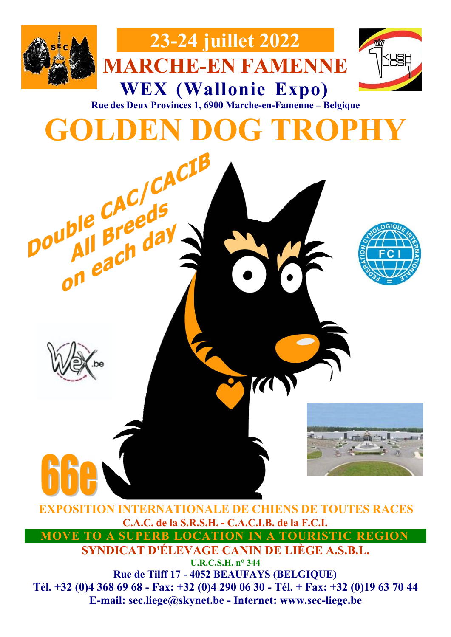



**WEX (Wallonie Expo) Rue des Deux Provinces 1, 6900 Marche-en-Famenne – Belgique**

**23-24 juillet 2022**

**MARCHE-EN FAMENNE**





**EXPOSITION INTERNATIONALE DE CHIENS DE TOUTES RACES C.A.C. de la S.R.S.H. - C.A.C.I.B. de la F.C.I. MOVE TO A SUPERB LOCATION IN A TOURISTIC REGION**

**SYNDICAT D'ÉLEVAGE CANIN DE LIÈGE A.S.B.L.**

**U.R.C.S.H. n° 344 Rue de Tilff 17 - 4052 BEAUFAYS (BELGIQUE)**

**Tél. +32 (0)4 368 69 68 - Fax: +32 (0)4 290 06 30 - Tél. + Fax: +32 (0)19 63 70 44 E-mail: sec.liege@skynet.be - Internet: www.sec-liege.be**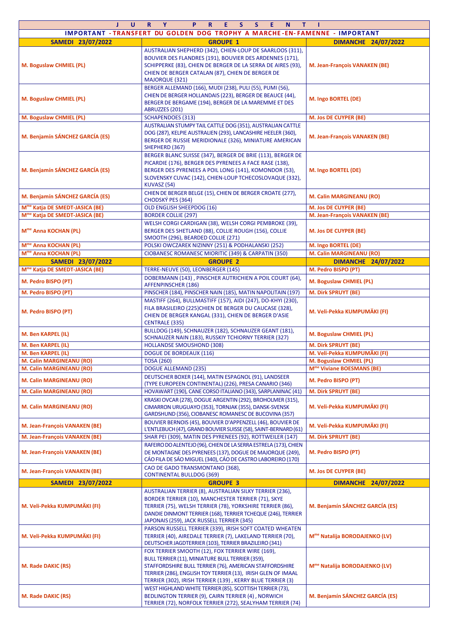| J.<br>U                                    | $R$ $Y$<br>P.<br>$\mathbf{R}$<br>E.<br>S.<br>S.<br>E.<br>N<br>т.                                                                                                                                                                                                                                 | - 1                                       |  |  |  |  |  |  |  |
|--------------------------------------------|--------------------------------------------------------------------------------------------------------------------------------------------------------------------------------------------------------------------------------------------------------------------------------------------------|-------------------------------------------|--|--|--|--|--|--|--|
|                                            | IMPORTANT - TRANSFERT DU GOLDEN DOG TROPHY A MARCHE-EN-FAMENNE - IMPORTANT                                                                                                                                                                                                                       |                                           |  |  |  |  |  |  |  |
| SAMEDI 23/07/2022                          | <b>GROUPE 1</b>                                                                                                                                                                                                                                                                                  | <b>DIMANCHE 24/07/2022</b>                |  |  |  |  |  |  |  |
| M. Boguslaw CHMIEL (PL)                    | AUSTRALIAN SHEPHERD (342), CHIEN-LOUP DE SAARLOOS (311),<br>BOUVIER DES FLANDRES (191), BOUVIER DES ARDENNES (171),<br>SCHIPPERKE (83), CHIEN DE BERGER DE LA SERRA DE AIRES (93),<br>M. Jean-François VANAKEN (BE)<br>CHIEN DE BERGER CATALAN (87), CHIEN DE BERGER DE<br><b>MAJORQUE (321)</b> |                                           |  |  |  |  |  |  |  |
| M. Boguslaw CHMIEL (PL)                    | BERGER ALLEMAND (166), MUDI (238), PULI (55), PUMI (56),<br>CHIEN DE BERGER HOLLANDAIS (223), BERGER DE BEAUCE (44),<br>BERGER DE BERGAME (194), BERGER DE LA MAREMME ET DES<br>ABRUZZES (201)                                                                                                   | M. Ingo BORTEL (DE)                       |  |  |  |  |  |  |  |
| M. Boguslaw CHMIEL (PL)                    | <b>SCHAPENDOES (313)</b>                                                                                                                                                                                                                                                                         | M. Jos DE CUYPER (BE)                     |  |  |  |  |  |  |  |
| M. Benjamín SÁNCHEZ GARCÍA (ES)            | AUSTRALIAN STUMPY TAIL CATTLE DOG (351), AUSTRALIAN CATTLE<br>DOG (287), KELPIE AUSTRALIEN (293), LANCASHIRE HEELER (360),<br>BERGER DE RUSSIE MERIDIONALE (326), MINIATURE AMERICAN<br>SHEPHERD (367)                                                                                           | M. Jean-François VANAKEN (BE)             |  |  |  |  |  |  |  |
| M. Benjamín SÁNCHEZ GARCÍA (ES)            | BERGER BLANC SUISSE (347), BERGER DE BRIE (113), BERGER DE<br>PICARDIE (176), BERGER DES PYRENEES A FACE RASE (138),<br>BERGER DES PYRENEES A POIL LONG (141), KOMONDOR (53),<br>SLOVENSKY CUVAC (142), CHIEN-LOUP TCHECOSLOVAQUE (332),<br>KUVASZ (54)                                          | M. Ingo BORTEL (DE)                       |  |  |  |  |  |  |  |
| M. Benjamín SÁNCHEZ GARCÍA (ES)            | CHIEN DE BERGER BELGE (15), CHIEN DE BERGER CROATE (277),<br>CHODSKÝ PES (364)                                                                                                                                                                                                                   | M. Calin MARGINEANU (RO)                  |  |  |  |  |  |  |  |
| M <sup>me</sup> Katja DE SMEDT-JASICA (BE) | OLD ENGLISH SHEEPDOG (16)                                                                                                                                                                                                                                                                        | <b>M. Jos DE CUYPER (BE)</b>              |  |  |  |  |  |  |  |
| M <sup>me</sup> Katja DE SMEDT-JASICA (BE) | <b>BORDER COLLIE (297)</b>                                                                                                                                                                                                                                                                       | M. Jean-François VANAKEN (BE)             |  |  |  |  |  |  |  |
| M <sup>me</sup> Anna KOCHAN (PL)           | WELSH CORGI CARDIGAN (38), WELSH CORGI PEMBROKE (39),<br>BERGER DES SHETLAND (88), COLLIE ROUGH (156), COLLIE<br>SMOOTH (296), BEARDED COLLIE (271)                                                                                                                                              | M. Jos DE CUYPER (BE)                     |  |  |  |  |  |  |  |
| M <sup>me</sup> Anna KOCHAN (PL)           | POLSKI OWCZAREK NIZINNY (251) & PODHALANSKI (252)                                                                                                                                                                                                                                                | M. Ingo BORTEL (DE)                       |  |  |  |  |  |  |  |
| M <sup>me</sup> Anna KOCHAN (PL)           | CIOBANESC ROMANESC MIORITIC (349) & CARPATIN (350)                                                                                                                                                                                                                                               | M. Calin MARGINEANU (RO)                  |  |  |  |  |  |  |  |
| SAMEDI 23/07/2022                          | <b>GROUPE 2</b>                                                                                                                                                                                                                                                                                  | <b>DIMANCHE 24/07/2022</b>                |  |  |  |  |  |  |  |
| M <sup>me</sup> Katja DE SMEDT-JASICA (BE) | TERRE-NEUVE (50), LEONBERGER (145)<br>DOBERMANN (143), PINSCHER AUTRICHIEN A POIL COURT (64),                                                                                                                                                                                                    | M. Pedro BISPO (PT)                       |  |  |  |  |  |  |  |
| M. Pedro BISPO (PT)                        | AFFENPINSCHER (186)                                                                                                                                                                                                                                                                              | M. Boguslaw CHMIEL (PL)                   |  |  |  |  |  |  |  |
| M. Pedro BISPO (PT)                        | PINSCHER (184), PINSCHER NAIN (185), MATIN NAPOLITAIN (197)                                                                                                                                                                                                                                      | M. Dirk SPRUYT (BE)                       |  |  |  |  |  |  |  |
| M. Pedro BISPO (PT)                        | MASTIFF (264), BULLMASTIFF (157), AIDI (247), DO-KHYI (230),<br>FILA BRASILEIRO (225)CHIEN DE BERGER DU CAUCASE (328),<br>CHIEN DE BERGER KANGAL (331), CHIEN DE BERGER D'ASIE<br><b>CENTRALE (335)</b>                                                                                          | M. Veli-Pekka KUMPUMÄKI (FI)              |  |  |  |  |  |  |  |
| M. Ben KARPEL (IL)                         | BULLDOG (149), SCHNAUZER (182), SCHNAUZER GEANT (181),<br>SCHNAUZER NAIN (183), RUSSKIY TCHIORNY TERRIER (327)                                                                                                                                                                                   | M. Boguslaw CHMIEL (PL)                   |  |  |  |  |  |  |  |
| M. Ben KARPEL (IL)                         | <b>HOLLANDSE SMOUSHOND (308)</b>                                                                                                                                                                                                                                                                 | M. Dirk SPRUYT (BE)                       |  |  |  |  |  |  |  |
| M. Ben KARPEL (IL)                         | <b>DOGUE DE BORDEAUX (116)</b>                                                                                                                                                                                                                                                                   | M. Veli-Pekka KUMPUMÄKI (FI)              |  |  |  |  |  |  |  |
| <b>M. Calin MARGINEANU (RO)</b>            | <b>TOSA (260)</b>                                                                                                                                                                                                                                                                                | M. Boguslaw CHMIEL (PL)                   |  |  |  |  |  |  |  |
| M. Calin MARGINEANU (RO)                   | <b>DOGUE ALLEMAND (235)</b>                                                                                                                                                                                                                                                                      | M <sup>me</sup> Viviane BOESMANS (BE)     |  |  |  |  |  |  |  |
| M. Calin MARGINEANU (RO)                   | DEUTSCHER BOXER (144), MATIN ESPAGNOL (91), LANDSEER<br>(TYPE EUROPEEN CONTINENTAL) (226), PRESA CANARIO (346)                                                                                                                                                                                   | M. Pedro BISPO (PT)                       |  |  |  |  |  |  |  |
| M. Calin MARGINEANU (RO)                   | HOVAWART (190), CANE CORSO ITALIANO (343), SARPLANINAC (41)                                                                                                                                                                                                                                      | M. Dirk SPRUYT (BE)                       |  |  |  |  |  |  |  |
| M. Calin MARGINEANU (RO)                   | KRASKI OVCAR (278), DOGUE ARGENTIN (292), BROHOLMER (315),<br>CIMARRON URUGUAYO (353), TORNJAK (355), DANSK-SVENSK<br>GARDSHUND (356), CIOBANESC ROMANESC DE BUCOVINA (357)                                                                                                                      | M. Veli-Pekka KUMPUMÄKI (FI)              |  |  |  |  |  |  |  |
| M. Jean-François VANAKEN (BE)              | BOUVIER BERNOIS (45), BOUVIER D'APPENZELL (46), BOUVIER DE<br>L'ENTLEBUCH (47), GRAND BOUVIER SUISSE (58), SAINT-BERNARD (61)                                                                                                                                                                    | M. Veli-Pekka KUMPUMÄKI (FI)              |  |  |  |  |  |  |  |
| M. Jean-François VANAKEN (BE)              | SHAR PEI (309), MATIN DES PYRENEES (92), ROTTWEILER (147)                                                                                                                                                                                                                                        | M. Dirk SPRUYT (BE)                       |  |  |  |  |  |  |  |
| M. Jean-François VANAKEN (BE)              | RAFEIRO DO ALENTEJO (96), CHIEN DE LA SERRA ESTRELA (173), CHIEN<br>DE MONTAGNE DES PYRENEES (137), DOGUE DE MAJORQUE (249),<br>CÁO FILA DE SÁO MIGUEL (340), CÁO DE CASTRO LABOREIRO (170)                                                                                                      | M. Pedro BISPO (PT)                       |  |  |  |  |  |  |  |
| M. Jean-François VANAKEN (BE)              | CAO DE GADO TRANSMONTANO (368),<br><b>CONTINENTAL BULLDOG (369)</b>                                                                                                                                                                                                                              | M. Jos DE CUYPER (BE)                     |  |  |  |  |  |  |  |
| SAMEDI 23/07/2022                          | <b>GROUPE 3</b>                                                                                                                                                                                                                                                                                  | <b>DIMANCHE 24/07/2022</b>                |  |  |  |  |  |  |  |
|                                            | AUSTRALIAN TERRIER (8), AUSTRALIAN SILKY TERRIER (236),                                                                                                                                                                                                                                          |                                           |  |  |  |  |  |  |  |
| M. Veli-Pekka KUMPUMÄKI (FI)               | BORDER TERRIER (10), MANCHESTER TERRIER (71), SKYE<br>TERRIER (75), WELSH TERRIER (78), YORKSHIRE TERRIER (86),<br>DANDIE DINMONT TERRIER (168), TERRIER TCHEQUE (246), TERRIER<br>JAPONAIS (259), JACK RUSSELL TERRIER (345)                                                                    | M. Benjamín SÁNCHEZ GARCÍA (ES)           |  |  |  |  |  |  |  |
| M. Veli-Pekka KUMPUMÄKI (FI)               | PARSON RUSSELL TERRIER (339), IRISH SOFT COATED WHEATEN<br>TERRIER (40), AIREDALE TERRIER (7), LAKELAND TERRIER (70),<br>DEUTSCHER JAGDTERRIER (103), TERRIER BRAZILEIRO (341)                                                                                                                   | M <sup>me</sup> Natalija BORODAJENKO (LV) |  |  |  |  |  |  |  |
| M. Rade DAKIC (RS)                         | FOX TERRIER SMOOTH (12), FOX TERRIER WIRE (169),<br>BULL TERRIER (11), MINIATURE BULL TERRIER (359),<br>STAFFORDSHIRE BULL TERRIER (76), AMERICAN STAFFORDSHIRE<br>TERRIER (286), ENGLISH TOY TERRIER (13), IRISH GLEN OF IMAAL<br>TERRIER (302), IRISH TERRIER (139) , KERRY BLUE TERRIER (3)   | M <sup>me</sup> Natalija BORODAJENKO (LV) |  |  |  |  |  |  |  |
| M. Rade DAKIC (RS)                         | WEST HIGHLAND WHITE TERRIER (85), SCOTTISH TERRIER (73),<br>BEDLINGTON TERRIER (9), CAIRN TERRIER (4), NORWICH<br>TERRIER (72), NORFOLK TERRIER (272), SEALYHAM TERRIER (74)                                                                                                                     | M. Benjamín SÁNCHEZ GARCÍA (ES)           |  |  |  |  |  |  |  |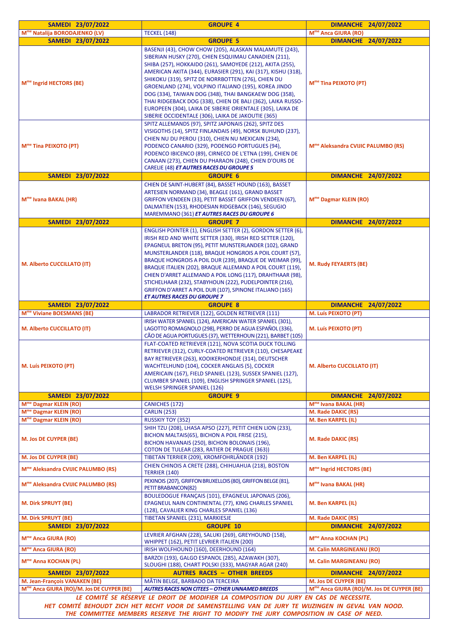| SAMEDI 23/07/2022                                                                                                                                                                                                                                                                       | <b>GROUPE 4</b>                                                                                                                                                                                                                                                                                                                                                                                                                                                                                                                                                                                        | <b>DIMANCHE 24/07/2022</b>                                     |  |  |  |  |
|-----------------------------------------------------------------------------------------------------------------------------------------------------------------------------------------------------------------------------------------------------------------------------------------|--------------------------------------------------------------------------------------------------------------------------------------------------------------------------------------------------------------------------------------------------------------------------------------------------------------------------------------------------------------------------------------------------------------------------------------------------------------------------------------------------------------------------------------------------------------------------------------------------------|----------------------------------------------------------------|--|--|--|--|
| M <sup>me</sup> Natalija BORODAJENKO (LV)                                                                                                                                                                                                                                               | <b>TECKEL (148)</b>                                                                                                                                                                                                                                                                                                                                                                                                                                                                                                                                                                                    | M <sup>me</sup> Anca GIURA (RO)                                |  |  |  |  |
| SAMEDI 23/07/2022                                                                                                                                                                                                                                                                       | <b>GROUPE 5</b>                                                                                                                                                                                                                                                                                                                                                                                                                                                                                                                                                                                        | <b>DIMANCHE 24/07/2022</b>                                     |  |  |  |  |
| M <sup>me</sup> Ingrid HECTORS (BE)                                                                                                                                                                                                                                                     | BASENJI (43), CHOW CHOW (205), ALASKAN MALAMUTE (243),<br>SIBERIAN HUSKY (270), CHIEN ESQUIMAU CANADIEN (211),<br>SHIBA (257), HOKKAIDO (261), SAMOYEDE (212), AKITA (255),<br>AMERICAN AKITA (344), EURASIER (291), KAI (317), KISHU (318),<br>SHIKOKU (319), SPITZ DE NORRBOTTEN (276), CHIEN DU<br>GROENLAND (274), VOLPINO ITALIANO (195), KOREA JINDO<br>DOG (334), TAIWAN DOG (348), THAI BANGKAEW DOG (358),<br>THAI RIDGEBACK DOG (338), CHIEN DE BALI (362), LAIKA RUSSO-<br>EUROPEEN (304), LAIKA DE SIBERIE ORIENTALE (305), LAIKA DE<br>SIBERIE OCCIDENTALE (306), LAIKA DE JAKOUTIE (365) | M <sup>me</sup> Tina PEIXOTO (PT)                              |  |  |  |  |
| M <sup>me</sup> Tina PEIXOTO (PT)                                                                                                                                                                                                                                                       | SPITZ ALLEMANDS (97), SPITZ JAPONAIS (262), SPITZ DES<br>VISIGOTHS (14), SPITZ FINLANDAIS (49), NORSK BUHUND (237),<br>CHIEN NU DU PEROU (310), CHIEN NU MEXICAIN (234),<br>PODENCO CANARIO (329), PODENGO PORTUGUES (94),<br>PODENCO IBICENCO (89), CIRNECO DE L'ETNA (199), CHIEN DE<br>CANAAN (273), CHIEN DU PHARAON (248), CHIEN D'OURS DE<br>CARELIE (48) ET AUTRES RACES DU GROUPE 5                                                                                                                                                                                                            | M <sup>me</sup> Aleksandra CVIJIC PALUMBO (RS)                 |  |  |  |  |
| SAMEDI 23/07/2022                                                                                                                                                                                                                                                                       | <b>GROUPE 6</b>                                                                                                                                                                                                                                                                                                                                                                                                                                                                                                                                                                                        | <b>DIMANCHE 24/07/2022</b>                                     |  |  |  |  |
| M <sup>me</sup> Ivana BAKAL (HR)                                                                                                                                                                                                                                                        | CHIEN DE SAINT-HUBERT (84), BASSET HOUND (163), BASSET<br>ARTESIEN NORMAND (34), BEAGLE (161), GRAND BASSET<br>GRIFFON VENDEEN (33), PETIT BASSET GRIFFON VENDEEN (67),<br>DALMATIEN (153), RHODESIAN RIDGEBACK (146), SEGUGIO<br>MAREMMANO (361) ET AUTRES RACES DU GROUPE 6                                                                                                                                                                                                                                                                                                                          | M <sup>me</sup> Dagmar KLEIN (RO)                              |  |  |  |  |
| SAMEDI 23/07/2022                                                                                                                                                                                                                                                                       | <b>GROUPE 7</b>                                                                                                                                                                                                                                                                                                                                                                                                                                                                                                                                                                                        | <b>DIMANCHE 24/07/2022</b>                                     |  |  |  |  |
| M. Alberto CUCCILLATO (IT)                                                                                                                                                                                                                                                              | ENGLISH POINTER (1), ENGLISH SETTER (2), GORDON SETTER (6),<br>IRISH RED AND WHITE SETTER (330), IRISH RED SETTER (120),<br>EPAGNEUL BRETON (95), PETIT MUNSTERLANDER (102), GRAND<br>MUNSTERLANDER (118), BRAQUE HONGROIS A POIL COURT (57),<br>BRAQUE HONGROIS A POIL DUR (239), BRAQUE DE WEIMAR (99),<br>BRAQUE ITALIEN (202), BRAQUE ALLEMAND A POIL COURT (119),<br>CHIEN D'ARRET ALLEMAND A POIL LONG (117), DRAHTHAAR (98),<br>STICHELHAAR (232), STABYHOUN (222), PUDELPOINTER (216),<br>GRIFFON D'ARRET A POIL DUR (107), SPINONE ITALIANO (165)<br><b>ET AUTRES RACES DU GROUPE 7</b>       | <b>M. Rudy FEYAERTS (BE)</b>                                   |  |  |  |  |
| SAMEDI 23/07/2022                                                                                                                                                                                                                                                                       | <b>GROUPE 8</b>                                                                                                                                                                                                                                                                                                                                                                                                                                                                                                                                                                                        | <b>DIMANCHE 24/07/2022</b>                                     |  |  |  |  |
| M <sup>me</sup> Viviane BOESMANS (BE)                                                                                                                                                                                                                                                   | LABRADOR RETRIEVER (122), GOLDEN RETRIEVER (111)                                                                                                                                                                                                                                                                                                                                                                                                                                                                                                                                                       | M. Luís PEIXOTO (PT)                                           |  |  |  |  |
| M. Alberto CUCCILLATO (IT)                                                                                                                                                                                                                                                              | IRISH WATER SPANIEL (124), AMERICAN WATER SPANIEL (301),<br>LAGOTTO ROMAGNOLO (298), PERRO DE AGUA ESPAÑOL (336),<br>CÃO DE AGUA PORTUGUES (37), WETTERHOUN (221), BARBET (105)                                                                                                                                                                                                                                                                                                                                                                                                                        | M. Luís PEIXOTO (PT)                                           |  |  |  |  |
| M. Luís PEIXOTO (PT)                                                                                                                                                                                                                                                                    | FLAT-COATED RETRIEVER (121), NOVA SCOTIA DUCK TOLLING<br>RETRIEVER (312), CURLY-COATED RETRIEVER (110), CHESAPEAKE<br>BAY RETRIEVER (263), KOOIKERHONDJE (314), DEUTSCHER<br>WACHTELHUND (104), COCKER ANGLAIS (5), COCKER<br>AMERICAIN (167), FIELD SPANIEL (123), SUSSEX SPANIEL (127),<br>CLUMBER SPANIEL (109), ENGLISH SPRINGER SPANIEL (125),<br><b>WELSH SPRINGER SPANIEL (126)</b>                                                                                                                                                                                                             | <b>M. Alberto CUCCILLATO (IT)</b>                              |  |  |  |  |
| SAMEDI 23/07/2022                                                                                                                                                                                                                                                                       | <b>GROUPE 9</b>                                                                                                                                                                                                                                                                                                                                                                                                                                                                                                                                                                                        | <b>DIMANCHE 24/07/2022</b>                                     |  |  |  |  |
| M <sup>me</sup> Dagmar KLEIN (RO)                                                                                                                                                                                                                                                       | <b>CANICHES (172)</b>                                                                                                                                                                                                                                                                                                                                                                                                                                                                                                                                                                                  | M <sup>me</sup> Ivana BAKAL (HR)                               |  |  |  |  |
| M <sup>me</sup> Dagmar KLEIN (RO)                                                                                                                                                                                                                                                       | <b>CARLIN (253)</b>                                                                                                                                                                                                                                                                                                                                                                                                                                                                                                                                                                                    | M. Rade DAKIC (RS)                                             |  |  |  |  |
| M <sup>me</sup> Dagmar KLEIN (RO)<br><b>M. Jos DE CUYPER (BE)</b>                                                                                                                                                                                                                       | <b>RUSSKIY TOY (352)</b><br>SHIH TZU (208), LHASA APSO (227), PETIT CHIEN LION (233),<br>BICHON MALTAIS(65), BICHON A POIL FRISE (215),<br>BICHON HAVANAIS (250), BICHON BOLONAIS (196),<br>COTON DE TULEAR (283, RATIER DE PRAGUE (363))                                                                                                                                                                                                                                                                                                                                                              | M. Ben KARPEL (IL)<br>M. Rade DAKIC (RS)                       |  |  |  |  |
| M. Jos DE CUYPER (BE)                                                                                                                                                                                                                                                                   | TIBETAN TERRIER (209), KROMFOHRLÄNDER (192)                                                                                                                                                                                                                                                                                                                                                                                                                                                                                                                                                            | M. Ben KARPEL (IL)                                             |  |  |  |  |
| M <sup>me</sup> Aleksandra CVIJIC PALUMBO (RS)                                                                                                                                                                                                                                          | CHIEN CHINOIS A CRETE (288), CHIHUAHUA (218), BOSTON<br><b>TERRIER (140)</b>                                                                                                                                                                                                                                                                                                                                                                                                                                                                                                                           | M <sup>me</sup> Ingrid HECTORS (BE)                            |  |  |  |  |
| M <sup>me</sup> Aleksandra CVIJIC PALUMBO (RS)                                                                                                                                                                                                                                          | PEKINOIS (207), GRIFFON BRUXELLOIS (80), GRIFFON BELGE (81),<br>PETIT BRABANCON(82)<br>BOULEDOGUE FRANÇAIS (101), EPAGNEUL JAPONAIS (206),                                                                                                                                                                                                                                                                                                                                                                                                                                                             | M <sup>me</sup> Ivana BAKAL (HR)                               |  |  |  |  |
| <b>M. Dirk SPRUYT (BE)</b>                                                                                                                                                                                                                                                              | EPAGNEUL NAIN CONTINENTAL (77), KING CHARLES SPANIEL<br>(128), CAVALIER KING CHARLES SPANIEL (136)                                                                                                                                                                                                                                                                                                                                                                                                                                                                                                     | M. Ben KARPEL (IL)                                             |  |  |  |  |
| M. Dirk SPRUYT (BE)                                                                                                                                                                                                                                                                     | TIBETAN SPANIEL (231), MARKIESJE                                                                                                                                                                                                                                                                                                                                                                                                                                                                                                                                                                       | M. Rade DAKIC (RS)                                             |  |  |  |  |
| SAMEDI 23/07/2022<br>M <sup>me</sup> Anca GIURA (RO)                                                                                                                                                                                                                                    | <b>GROUPE 10</b><br>LEVRIER AFGHAN (228), SALUKI (269), GREYHOUND (158),                                                                                                                                                                                                                                                                                                                                                                                                                                                                                                                               | <b>DIMANCHE 24/07/2022</b><br>M <sup>me</sup> Anna KOCHAN (PL) |  |  |  |  |
|                                                                                                                                                                                                                                                                                         | WHIPPET (162), PETIT LEVRIER ITALIEN (200)                                                                                                                                                                                                                                                                                                                                                                                                                                                                                                                                                             |                                                                |  |  |  |  |
| M <sup>me</sup> Anca GIURA (RO)<br>M <sup>me</sup> Anna KOCHAN (PL)                                                                                                                                                                                                                     | IRISH WOLFHOUND (160), DEERHOUND (164)<br>BARZOI (193), GALGO ESPANOL (285), AZAWAKH (307),<br>SLOUGHI (188), CHART POLSKI (333), MAGYAR AGAR (240)                                                                                                                                                                                                                                                                                                                                                                                                                                                    | M. Calin MARGINEANU (RO)<br>M. Calin MARGINEANU (RO)           |  |  |  |  |
| SAMEDI 23/07/2022                                                                                                                                                                                                                                                                       | <b>AUTRES RACES - OTHER BREEDS</b>                                                                                                                                                                                                                                                                                                                                                                                                                                                                                                                                                                     | <b>DIMANCHE 24/07/2022</b>                                     |  |  |  |  |
| M. Jean-François VANAKEN (BE)                                                                                                                                                                                                                                                           | MÂTIN BELGE, BARBADO DA TERCEIRA                                                                                                                                                                                                                                                                                                                                                                                                                                                                                                                                                                       | <b>M. Jos DE CUYPER (BE)</b>                                   |  |  |  |  |
| M <sup>me</sup> Anca GIURA (RO)/M. Jos DE CUYPER (BE)                                                                                                                                                                                                                                   | <b>AUTRES RACES NON CITEES - OTHER UNNAMED BREEDS</b>                                                                                                                                                                                                                                                                                                                                                                                                                                                                                                                                                  | M <sup>me</sup> Anca GIURA (RO)/M. Jos DE CUYPER (BE)          |  |  |  |  |
| LE COMITÉ SE RÉSERVE LE DROIT DE MODIFIER LA COMPOSITION DU JURY EN CAS DE NECESSITE.<br>HET COMITÉ BEHOUDT ZICH HET RECHT VOOR DE SAMENSTELLING VAN DE JURY TE WIJZINGEN IN GEVAL VAN NOOD.<br>THE COMMITTEE MEMBERS RESERVE THE RIGHT TO MODIFY THE JURY COMPOSITION IN CASE OF NEED. |                                                                                                                                                                                                                                                                                                                                                                                                                                                                                                                                                                                                        |                                                                |  |  |  |  |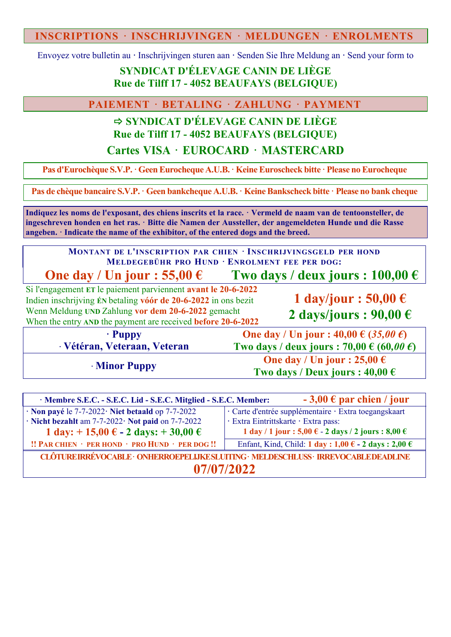## **INSCRIPTIONS · INSCHRIJVINGEN · MELDUNGEN · ENROLMENTS**

Envoyez votre bulletin au **·** Inschrijvingen sturen aan **·** Senden Sie Ihre Meldung an **·** Send your form to

# **SYNDICAT D'ÉLEVAGE CANIN DE LIÈGE Rue de Tilff 17 - 4052 BEAUFAYS (BELGIQUE)**

**PAIEMENT · BETALING · ZAHLUNG · PAYMENT**

# **SYNDICAT D'ÉLEVAGE CANIN DE LIÈGE Rue de Tilff 17 - 4052 BEAUFAYS (BELGIQUE)**

**Cartes VISA · EUROCARD · MASTERCARD**

**Pas d'Eurochèque S.V.P.· GeenEurocheque A.U.B.· KeineEuroscheck bitte · Please noEurocheque**

**Pas de chèque bancaire S.V.P.· Geen bankcheque A.U.B.· KeineBankscheck bitte · Please no bank cheque**

**Indiquez les noms de l'exposant, des chiens inscrits et la race. · Vermeld de naam van de tentoonsteller, de ingeschreven honden en het ras. · Bitte die Namen der Aussteller, der angemeldeten Hunde und die Rasse angeben. · Indicate the name of the exhibitor, of the entered dogs and the breed.**

**MONTANT DE L'INSCRIPTION PAR CHIEN · INSCHRIJVINGSGELD PER HOND MELDEGEBÜHR PRO HUND · ENROLMENT FEE PER DOG:**

**One day** */* Un jour : 55,00  $\epsilon$  **Two** days */* deux jours : 100,00  $\epsilon$ 

Si l'engagement **ET** le paiement parviennent **avant le 20-6-2022** Indien inschrijving **ÉN** betaling **vóór de 20-6-2022** in ons bezit Wenn Meldung **UND** Zahlung **vor dem 20-6-2022** gemacht When the entry **AND** the payment are received **before 20-6-2022**

**1 day/jour : 50,00 € 2 days/jours : 90,00 €**

**· Puppy · Vétéran, Veteraan, Veteran**

**One day / Un jour : 40,00 € (***35,00 €***) Two days / deux jours : 70,00 € (60***,00 €***) · Minor Puppy One day / Un jour : 25,00**  $\epsilon$ **Two** days / Deux jours :  $40,00 \in$ 

| $-3,00 \in$ par chien / jour<br>· Membre S.E.C. - S.E.C. Lid - S.E.C. Mitglied - S.E.C. Member: |                                                            |  |  |  |  |  |
|-------------------------------------------------------------------------------------------------|------------------------------------------------------------|--|--|--|--|--|
| $\cdot$ Non payé le 7-7-2022 $\cdot$ Niet betaald op 7-7-2022                                   | · Carte d'entrée supplémentaire · Extra toegangskaart      |  |  |  |  |  |
| · Nicht bezahlt am 7-7-2022· Not paid on 7-7-2022                                               | · Extra Eintrittskarte · Extra pass:                       |  |  |  |  |  |
| 1 day: $+ 15,00 \in -2$ days: $+ 30,00 \in$                                                     | 1 day / 1 jour : 5,00 € - 2 days / 2 jours : 8,00 €        |  |  |  |  |  |
| !! PAR CHIEN · PER HOND · PRO HUND · PER DOG !!                                                 | Enfant, Kind, Child: 1 day: $1,00 \in -2$ days: $2,00 \in$ |  |  |  |  |  |
| CLÔTUREIRRÉVOCABLE · ONHERROEPELIJKESLUITING · MELDESCHLUSS · IRREVOCABLEDEADLINE               |                                                            |  |  |  |  |  |
| 07/07/2022                                                                                      |                                                            |  |  |  |  |  |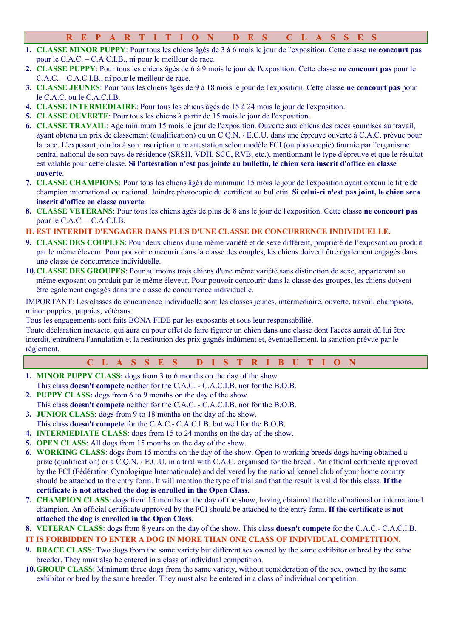## **R E P A R T I T I O N D E S C L A S S E S**

- **1. CLASSE MINOR PUPPY**: Pour tous les chiens âgés de 3 à 6 mois le jour de l'exposition. Cette classe **ne concourt pas** pour le C.A.C. – C.A.C.I.B., ni pour le meilleur de race.
- **2. CLASSE PUPPY**: Pour tous les chiens âgés de 6 à 9 mois le jour de l'exposition. Cette classe **ne concourt pas** pour le C.A.C. – C.A.C.I.B., ni pour le meilleur de race.
- **3. CLASSE JEUNES**: Pour tous les chiens âgés de 9 à 18 mois le jour de l'exposition. Cette classe **ne concourt pas** pour le C.A.C. ou le C.A.C.I.B.
- **4. CLASSE INTERMEDIAIRE**: Pour tous les chiens âgés de 15 à 24 mois le jour de l'exposition.
- **5. CLASSE OUVERTE**: Pour tous les chiens à partir de 15 mois le jour de l'exposition.
- **6. CLASSE TRAVAIL**: Age minimum 15 mois le jour de l'exposition. Ouverte aux chiens des races soumises au travail, ayant obtenu un prix de classement (qualification) ou un C.Q.N. / E.C.U. dans une épreuve ouverte à C.A.C. prévue pour la race. L'exposant joindra à son inscription une attestation selon modèle FCI (ou photocopie) fournie par l'organisme central national de son pays de résidence (SRSH, VDH, SCC, RVB, etc.), mentionnant le type d'épreuve et que le résultat est valable pour cette classe. **Si l'attestation n'est pas jointe au bulletin, le chien sera inscrit d'office en classe ouverte**.
- **7. CLASSE CHAMPIONS**: Pour tous les chiens âgés de minimum 15 mois le jour de l'exposition ayant obtenu le titre de champion international ou national. Joindre photocopie du certificat au bulletin. **Si celui-ci n'est pas joint, le chien sera inscrit d'office en classe ouverte**.
- **8. CLASSE VETERANS**: Pour tous les chiens âgés de plus de 8 ans le jour de l'exposition. Cette classe **ne concourt pas** pour le C.A.C. – C.A.C.I.B.

#### **IL EST INTERDIT D'ENGAGER DANS PLUS D'UNE CLASSE DE CONCURRENCE INDIVIDUELLE.**

- **9. CLASSE DES COUPLES**: Pour deux chiens d'une même variété et de sexe différent, propriété de l'exposant ou produit par le même éleveur. Pour pouvoir concourir dans la classe des couples, les chiens doivent être également engagés dans une classe de concurrence individuelle.
- **10.CLASSE DES GROUPES**: Pour au moins trois chiens d'une même variété sans distinction de sexe, appartenant au même exposant ou produit par le même éleveur. Pour pouvoir concourir dans la classe des groupes, les chiens doivent être également engagés dans une classe de concurrence individuelle.

IMPORTANT: Les classes de concurrence individuelle sont les classes jeunes, intermédiaire, ouverte, travail, champions, minor puppies, puppies, vétérans.

Tous les engagements sont faits BONA FIDE par les exposants et sous leur responsabilité.

Toute déclaration inexacte, qui aura eu pour effet de faire figurer un chien dans une classe dont l'accès aurait dû lui être interdit, entraînera l'annulation et la restitution des prix gagnés indûment et, éventuellement, la sanction prévue par le règlement.

| CLASSES DISTRIBUTION |  |  |  |
|----------------------|--|--|--|
|----------------------|--|--|--|

- **1. MINOR PUPPY CLASS:** dogs from 3 to 6 months on the day of the show. This class **doesn't compete** neither for the C.A.C. - C.A.C.I.B. nor for the B.O.B.
- **2. PUPPY CLASS:** dogs from 6 to 9 months on the day of the show. This class **doesn't compete** neither for the C.A.C. - C.A.C.I.B. nor for the B.O.B.
- **3. JUNIOR CLASS**: dogs from 9 to 18 months on the day of the show.
- This class **doesn't compete** for the C.A.C.- C.A.C.I.B. but well for the B.O.B.
- **4. INTERMEDIATE CLASS**: dogs from 15 to 24 months on the day of the show.
- **5. OPEN CLASS**: All dogs from 15 months on the day of the show.
- **6. WORKING CLASS**: dogs from 15 months on the day of the show. Open to working breeds dogs having obtained a prize (qualification) or a C.Q.N. / E.C.U. in a trial with C.A.C. organised for the breed . An official certificate approved by the FCI (Fédération Cynologique Internationale) and delivered by the national kennel club of your home country should be attached to the entry form. It will mention the type of trial and that the result is valid for this class. **If the certificate is not attached the dog is enrolled in the Open Class**.
- **7. CHAMPION CLASS**: dogs from 15 months on the day of the show, having obtained the title of national or international champion. An official certificate approved by the FCI should be attached to the entry form. **If the certificate is not attached the dog is enrolled in the Open Class**.
- **8. VETERAN CLASS**: dogs from 8 years on the day of the show. This class **doesn't compete** for the C.A.C.- C.A.C.I.B.

#### **IT IS FORBIDDEN TO ENTER A DOG IN MORE THAN ONE CLASS OF INDIVIDUAL COMPETITION.**

- **9. BRACE CLASS**: Two dogs from the same variety but different sex owned by the same exhibitor or bred by the same breeder. They must also be entered in a class of individual competition.
- **10.GROUP CLASS**: Minimum three dogs from the same variety, without consideration of the sex, owned by the same exhibitor or bred by the same breeder. They must also be entered in a class of individual competition.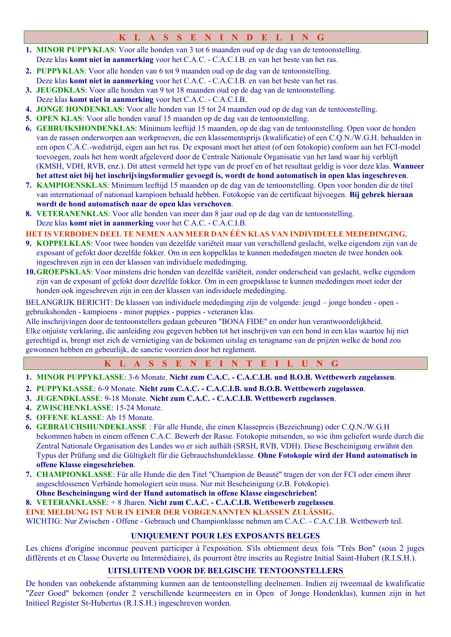## **K L A S S E N I N D E L I N G**

- **1. MINOR PUPPYKLAS**: Voor alle honden van 3 tot 6 maanden oud op de dag van de tentoonstelling. Deze klas **komt niet in aanmerking** voor het C.A.C. - C.A.C.I.B. en van het beste van het ras.
- **2. PUPPYKLAS**: Voor alle honden van 6 tot 9 maanden oud op de dag van de tentoonstelling.
- Deze klas **komt niet in aanmerking** voor het C.A.C. C.A.C.I.B. en van het beste van het ras.
- **3. JEUGDKLAS**: Voor alle honden van 9 tot 18 maanden oud op de dag van de tentoonstelling.
- Deze klas **komt niet in aanmerking** voor het C.A.C. C.A.C.I.B.
- **4. JONGE HONDENKLAS**: Voor alle honden van 15 tot 24 maanden oud op de dag van de tentoonstelling.
- **5. OPEN KLAS**: Voor alle honden vanaf 15 maanden op de dag van de tentoonstelling.
- **6. GEBRUIKSHONDENKLAS**: Minimum leeftijd 15 maanden, op de dag van de tentoonstelling. Open voor de honden van de rassen onderworpen aan werkproeven, die een klassementsprijs (kwalificatie) of een C.Q.N./W.G.H. behaalden in een open C.A.C.-wedstrijd, eigen aan het ras. De exposant moet het attest (of een fotokopie) conform aan het FCI-model toevoegen, zoals het hem wordt afgeleverd door de Centrale Nationale Organisatie van het land waar hij verblijft (KMSH, VDH, RVB, enz.). Dit attest vermeld het type van de proef en of het resultaat geldig is voor deze klas. **Wanneer het attest niet bij het inschrijvingsformulier gevoegd is, wordt de hond automatisch in open klas ingeschreven**.
- **7. KAMPIOENSKLAS**: Minimum leeftijd 15 maanden op de dag van de tentoonstelling. Open voor honden die de titel van internationaal of nationaal kampioen behaald hebben. Fotokopie van de certificaat bijvoegen. **Bij gebrek hieraan wordt de hond automatisch naar de open klas verschoven**.
- **8. VETERANENKLAS**: Voor alle honden van meer dan 8 jaar oud op de dag van de tentoonstelling. Deze klas **komt niet in aanmerking** voor het C.A.C. - C.A.C.I.B.

#### **HET IS VERBODEN DEEL TE NEMEN AAN MEER DAN ÉÉN KLAS VAN INDIVIDUELE MEDEDINGING.**

- **9. KOPPELKLAS**: Voor twee honden van dezelfde variëteit maar van verschillend geslacht, welke eigendom zijn van de exposant of gefokt door dezelfde fokker. Om in een koppelklas te kunnen mededingen moeten de twee honden ook ingeschreven zijn in een der klassen van individuele mededinging.
- **10.GROEPSKLAS**: Voor minstens drie honden van dezelfde variëteit, zonder onderscheid van geslacht, welke eigendom zijn van de exposant of gefokt door dezelfde fokker. Om in een groepsklasse te kunnen mededingen moet ieder der honden ook ingeschreven zijn in een der klassen van individuele mededinging.

BELANGRIJK BERICHT: De klassen van individuele mededinging zijn de volgende: jeugd – jonge honden - open gebruikshonden - kampioens - minor puppies - puppies - veteranen klas.

Alle inschrijvingen door de tentoonstellers gedaan gebeuren "BONA FIDE" en onder hun verantwoordelijkheid. Elke onjuiste verklaring, die aanleiding zou gegeven hebben tot het inschrijven van een hond in een klas waartoe hij niet gerechtigd is, brengt met zich de vernietiging van de bekomen uitslag en terugname van de prijzen welke de hond zou gewonnen hebben en gebeurlijk, de sanctie voorzien door het reglement.

|  |  |  |  |  |  |  |  |  |  |  |  |  |  |  | K L A S S E N E I N T E I L U N G |  |
|--|--|--|--|--|--|--|--|--|--|--|--|--|--|--|-----------------------------------|--|
|--|--|--|--|--|--|--|--|--|--|--|--|--|--|--|-----------------------------------|--|

- **1. MINOR PUPPYKLASSE**: 3-6 Monate. **Nicht zum C.A.C. - C.A.C.I.B. und B.O.B. Wettbewerb zugelassen**.
- **2. PUPPYKLASSE**: 6-9 Monate. **Nicht zum C.A.C. - C.A.C.I.B. und B.O.B. Wettbewerb zugelassen**.
- **3. JUGENDKLASSE**: 9-18 Monate. **Nicht zum C.A.C. - C.A.C.I.B. Wettbewerb zugelassen**.
- **4. ZWISCHENKLASSE**: 15-24 Monate.
- **5. OFFENE KLASSE**: Ab 15 Monate.
- **6. GEBRAUCHSHUNDEKLASSE** : Für alle Hunde, die einen Klassepreis (Bezeichnung) oder C.Q.N./W.G.H bekommen haben in einem offenen C.A.C. Bewerb der Rasse. Fotokopie mitsenden, so wie ihm geliefert wurde durch die Zentral Nationale Organisation des Landes wo er sich aufhält (SRSH, RVB, VDH). Diese Bescheinigung erwähnt den Typus der Prüfung und die Gültigkelt für die Gebrauchshundeklasse. **Ohne Fotokopie wird der Hund automatisch in offene Klasse eingeschrieben**.
- **7. CHAMPIONKLASSE**: Für alle Hunde die den Titel "Champion de Beauté" tragen der von der FCI oder einem ihrer angeschlossenen Verbände homologiert sein muss. Nur mit Bescheinigung (z.B. Fotokopie).
- **Ohne Bescheiningung wird der Hund automatisch in offene Klasse eingeschrieben!**

**8. VETERANKLASSE**: + 8 Jharen. **Nicht zum C.A.C. - C.A.C.I.B. Wettbewerb zugelassen**.

#### **EINE MELDUNG IST NUR IN EINER DER VORGENANNTEN KLASSEN ZULÄSSIG.**

WICHTIG: Nur Zwischen - Offene - Gebrauch und Championklasse nehmen am C.A.C. - C.A.C.I.B. Wettbewerb teil.

## **UNIQUEMENT POUR LES EXPOSANTS BELGES**

Les chiens d'origine inconnue peuvent participer à l'exposition. S'ils obtiennent deux fois "Très Bon" (sous 2 juges différents et en Classe Ouverte ou Intermédiaire), ils pourront être inscrits au Registre Initial Saint-Hubert (R.I.S.H.).

## **UITSLUITEND VOOR DE BELGISCHE TENTOONSTELLERS**

De honden van onbekende afstamming kunnen aan de tentoonstelling deelnemen. Indien zij tweemaal de kwalificatie "Zeer Goed" bekomen (onder 2 verschillende keurmeesters en in Open of Jonge Hondenklas), kunnen zijn in het Initieel Register St-Hubertus (R.I.S.H.) ingeschreven worden.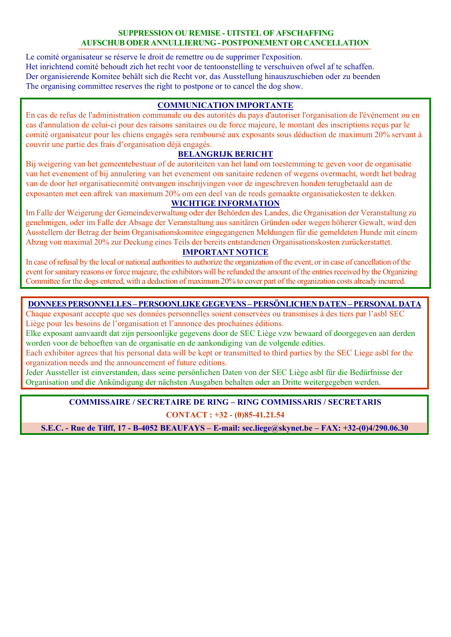#### **SUPPRESSION OU REMISE - UITSTEL OF AFSCHAFFING AUFSCHUB ODER ANNULLIERUNG- POSTPONEMENTOR CANCELLATION**

Le comité organisateur se réserve le droit de remettre ou de supprimer l'exposition. Het inrichtend comité behoudt zich het recht voor de tentoonstelling te verschuiven ofwel af te schaffen. Der organisierende Komitee behält sich die Recht vor, das Ausstellung hinauszuschieben oder zu beenden The organising committee reserves the right to postpone or to cancel the dog show.

## **COMMUNICATION IMPORTANTE**

En cas de refus de l'administration communale ou des autorités du pays d'autoriser l'organisation de l'événement ou en cas d'annulation de celui-ci pour des raisons sanitaires ou de force majeure, le montant des inscriptions reçus par le comité organisateur pour les chiens engagés sera remboursé aux exposants sous déduction de maximum 20% servant à couvrir une partie des frais d'organisation déjà engagés.

#### **BELANGRIJK BERICHT**

Bij weigering van het gemeentebestuur of de autoriteiten van het land om toestemming te geven voor de organisatie van het evenement of bij annulering van het evenement om sanitaire redenen of wegens overmacht, wordt het bedrag van de door het organisatiecomité ontvangen inschrijvingen voor de ingeschreven honden terugbetaald aan de exposanten met een aftrek van maximum 20% om een deel van de reeds gemaakte organisatiekosten te dekken.

#### **WICHTIGE INFORMATION**

Im Falle der Weigerung der Gemeindeverwaltung oder der Behörden des Landes, die Organisation der Veranstaltung zu genehmigen, oder im Falle der Absage der Veranstaltung aus sanitären Gründen oder wegen höherer Gewalt, wird den Ausstellern der Betrag der beim Organisationskomitee eingegangenen Meldungen für die gemeldeten Hunde mit einem Abzug von maximal 20% zur Deckung eines Teils der bereits entstandenen Organisationskosten zurückerstattet.

#### **IMPORTANT NOTICE**

In case of refusal by the local or national authorities to authorize the organization of the event, or in case of cancellation of the event for sanitary reasons or force majeure, the exhibitors will be refunded the amount of the entries received by the Organizing Committee for the dogs entered, with a deduction of maximum20% to cover part of the organization costs already incurred.

#### **DONNEES PERSONNELLES –PERSOONLIJKEGEGEVENS – PERSÖNLICHEN DATEN – PERSONAL DATA**

Chaque exposant accepte que ses données personnelles soient conservées ou transmises à des tiers par l'asbl SEC Liège pour les besoins de l'organisation et l'annonce des prochaines éditions.

Elke exposant aanvaardt dat zijn persoonlijke gegevens door de SEC Liège vzw bewaard of doorgegeven aan derden worden voor de behoeften van de organisatie en de aankondiging van de volgende edities.

Each exhibitor agrees that his personal data will be kept or transmitted to third parties by the SEC Liege asbl for the organization needs and the announcement of future editions.

Jeder Aussteller ist einverstanden, dass seine persönlichen Daten von der SEC Liège asbl für die Bedürfnisse der Organisation und die Ankündigung der nächsten Ausgaben behalten oder an Dritte weitergegeben werden.

## **COMMISSAIRE / SECRETAIRE DE RING – RING COMMISSARIS / SECRETARIS CONTACT : +32 - (0)85-41.21.54**

**S.E.C. - Rue de Tilff, 17 - B-4052 BEAUFAYS – E-mail: sec.liege@skynet.be – FAX: +32-(0)4/290.06.30**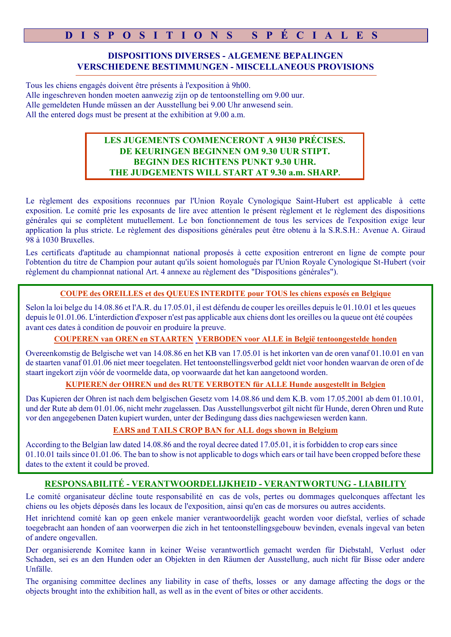# **D I S P O S I T I O N S S P É C I A L E S**

## **DISPOSITIONS DIVERSES - ALGEMENE BEPALINGEN VERSCHIEDENE BESTIMMUNGEN - MISCELLANEOUS PROVISIONS**

Tous les chiens engagés doivent être présents à l'exposition à 9h00. Alle ingeschreven honden moeten aanwezig zijn op de tentoonstelling om 9.00 uur. Alle gemeldeten Hunde müssen an der Ausstellung bei 9.00 Uhr anwesend sein. All the entered dogs must be present at the exhibition at 9.00 a.m.

## **LES JUGEMENTS COMMENCERONT A 9H30 PRÉCISES. DE KEURINGEN BEGINNEN OM 9.30 UUR STIPT. BEGINN DES RICHTENS PUNKT 9.30 UHR. THE JUDGEMENTS WILL START AT 9.30 a.m. SHARP.**

Le règlement des expositions reconnues par l'Union Royale Cynologique Saint-Hubert est applicable à cette exposition. Le comité prie les exposants de lire avec attention le présent règlement et le règlement des dispositions générales qui se complètent mutuellement. Le bon fonctionnement de tous les services de l'exposition exige leur application la plus stricte. Le règlement des dispositions générales peut être obtenu à la S.R.S.H.: Avenue A. Giraud 98 à 1030 Bruxelles.

Les certificats d'aptitude au championnat national proposés à cette exposition entreront en ligne de compte pour l'obtention du titre de Champion pour autant qu'ils soient homologués par l'Union Royale Cynologique St-Hubert (voir règlement du championnat national Art. 4 annexe au règlement des "Dispositions générales").

#### **COUPE des OREILLES et des QUEUES INTERDITE pour TOUS les chiens exposés en Belgique**

Selon la loi belge du 14.08.86 et l'A.R. du 17.05.01, il est défendu de couper les oreilles depuis le 01.10.01 et les queues depuisle 01.01.06. L'interdiction d'exposer n'est pas applicable aux chiens dont les oreilles ou la queue ont été coupées avant ces dates à condition de pouvoir en produire la preuve.

#### **COUPEREN van OREN en STAARTEN VERBODEN voor ALLE in België tentoongestelde honden**

Overeenkomstig de Belgische wet van 14.08.86 en het KB van 17.05.01 is het inkorten van de oren vanaf 01.10.01 en van de staarten vanaf 01.01.06 niet meer toegelaten. Het tentoonstellingsverbod geldt niet voor honden waarvan de oren of de staart ingekort zijn vóór de voormelde data, op voorwaarde dat het kan aangetoond worden.

## **KUPIEREN der OHREN und des RUTE VERBOTEN für ALLE Hunde ausgestellt in Belgien**

Das Kupieren der Ohren ist nach dem belgischen Gesetz vom 14.08.86 und dem K.B. vom 17.05.2001 ab dem 01.10.01, und der Rute ab dem 01.01.06, nicht mehr zugelassen. Das Ausstellungsverbot gilt nicht für Hunde, deren Ohren und Rute vor den angegebenen Daten kupiert wurden, unter der Bedingung dass dies nachgewiesen werden kann.

## **EARS and TAILS CROP BAN for ALL dogs shown in Belgium**

According to the Belgian law dated 14.08.86 and the royal decree dated 17.05.01, it is forbidden to crop ears since 01.10.01 tails since 01.01.06. The ban to show is not applicable to dogs which ears or tail have been cropped before these dates to the extent it could be proved.

## **RESPONSABILITÉ - VERANTWOORDELIJKHEID - VERANTWORTUNG - LIABILITY**

Le comité organisateur décline toute responsabilité en cas de vols, pertes ou dommages quelconques affectant les chiens ou les objets déposés dans les locaux de l'exposition, ainsi qu'en cas de morsures ou autres accidents.

Het inrichtend comité kan op geen enkele manier verantwoordelijk geacht worden voor diefstal, verlies of schade toegebracht aan honden of aan voorwerpen die zich in het tentoonstellingsgebouw bevinden, evenals ingeval van beten of andere ongevallen.

Der organisierende Komitee kann in keiner Weise verantwortlich gemacht werden für Diebstahl, Verlust oder Schaden, sei es an den Hunden oder an Objekten in den Räumen der Ausstellung, auch nicht für Bisse oder andere Unfälle.

The organising committee declines any liability in case of thefts, losses or any damage affecting the dogs or the objects brought into the exhibition hall, as well as in the event of bites or other accidents.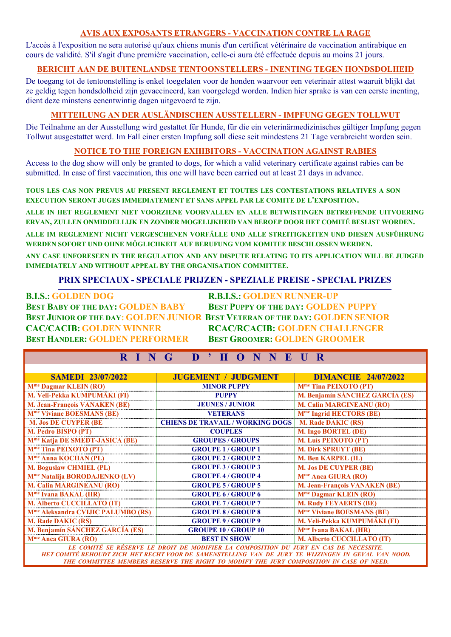#### **AVIS AUX EXPOSANTS ETRANGERS - VACCINATION CONTRE LA RAGE**

L'accès à l'exposition ne sera autorisé qu'aux chiens munis d'un certificat vétérinaire de vaccination antirabique en cours de validité. S'il s'agit d'une première vaccination, celle-ci aura été effectuée depuis au moins 21 jours.

#### **BERICHT AAN DE BUITENLANDSE TENTOONSTELLERS - INENTING TEGEN HONDSDOLHEID**

De toegang tot de tentoonstelling is enkel toegelaten voor de honden waarvoor een veterinair attest waaruit blijkt dat ze geldig tegen hondsdolheid zijn gevaccineerd, kan voorgelegd worden. Indien hier sprake is van een eerste inenting, dient deze minstens eenentwintig dagen uitgevoerd te zijn.

## **MITTEILUNG AN DER AUSLÄNDISCHEN AUSSTELLERN - IMPFUNG GEGEN TOLLWUT**

Die Teilnahme an der Ausstellung wird gestattet für Hunde, für die ein veterinärmedizinisches gültiger Impfung gegen Tollwut ausgestattet werd. Im Fall einer ersten Impfung soll diese seit mindestens 21 Tage verabreicht worden sein.

#### **NOTICE TO THE FOREIGN EXHIBITORS - VACCINATION AGAINST RABIES**

Access to the dog show will only be granted to dogs, for which a valid veterinary certificate against rabies can be submitted. In case of first vaccination, this one will have been carried out at least 21 days in advance.

**TOUS LES CAS NON PREVUS AU PRESENT REGLEMENT ET TOUTES LES CONTESTATIONS RELATIVES A SON EXECUTION SERONT JUGES IMMEDIATEMENT ET SANS APPEL PAR LE COMITE DE L'EXPOSITION.**

**ALLE IN HET REGLEMENT NIET VOORZIENE VOORVALLEN EN ALLE BETWISTINGEN BETREFFENDE UITVOERING ERVAN, ZULLEN ONMIDDELLIJK EN ZONDER MOGELIJKHEID VAN BEROEP DOOR HET COMITÉ BESLIST WORDEN.**

**ALLE IM REGLEMENT NICHT VERGESCHENEN VORFÄLLE UND ALLE STREITIGKEITEN UND DIESEN AUSFÜHRUNG WERDEN SOFORT UND OHNE MÖGLICHKEIT AUF BERUFUNG VOM KOMITEE BESCHLOSSEN WERDEN.**

**ANY CASE UNFORESEEN IN THE REGULATION AND ANY DISPUTE RELATING TO ITS APPLICATION WILL BE JUDGED IMMEDIATELY AND WITHOUT APPEAL BY THE ORGANISATION COMMITTEE.**

## **PRIX SPECIAUX - SPECIALE PRIJZEN - SPEZIALE PREISE - SPECIAL PRIZES**

**B.I.S.: GOLDEN DOG R.B.I.S.: GOLDEN RUNNER-UP BEST BABY OF THE DAY: GOLDEN BABY BEST PUPPY OF THE DAY: GOLDEN PUPPY BEST HANDLER: GOLDEN PERFORMER BEST GROOMER: GOLDEN GROOMER**

**BEST JUNIOR OF THE DAY: GOLDEN JUNIOR BEST VETERAN OF THE DAY: GOLDEN SENIOR CAC/CACIB: GOLDEN WINNER RCAC/RCACIB: GOLDEN CHALLENGER**

# **R I N G D ' H O N N E U R**

| <b>SAMEDI 23/07/2022</b>                                                              | <b>JUGEMENT / JUDGMENT</b>              | <b>DIMANCHE 24/07/2022</b>             |  |  |  |  |  |  |
|---------------------------------------------------------------------------------------|-----------------------------------------|----------------------------------------|--|--|--|--|--|--|
| M <sup>me</sup> Dagmar KLEIN (RO)                                                     | <b>MINOR PUPPY</b>                      | M <sup>me</sup> Tina PEIXOTO (PT)      |  |  |  |  |  |  |
| M. Veli-Pekka KUMPUMÄKI (FI)                                                          | <b>PUPPY</b>                            | <b>M. Benjamín SÁNCHEZ GARCÍA (ES)</b> |  |  |  |  |  |  |
| <b>M. Jean-François VANAKEN (BE)</b>                                                  | <b>JEUNES / JUNIOR</b>                  | <b>M. Calin MARGINEANU (RO)</b>        |  |  |  |  |  |  |
| M <sup>me</sup> Viviane BOESMANS (BE)                                                 | <b>VETERANS</b>                         | M <sup>me</sup> Ingrid HECTORS (BE)    |  |  |  |  |  |  |
| <b>M. Jos DE CUYPER (BE</b>                                                           | <b>CHIENS DE TRAVAIL / WORKING DOGS</b> | <b>M. Rade DAKIC (RS)</b>              |  |  |  |  |  |  |
| M. Pedro BISPO (PT)                                                                   | <b>COUPLES</b>                          | <b>M. Ingo BORTEL (DE)</b>             |  |  |  |  |  |  |
| M <sup>me</sup> Katja DE SMEDT-JASICA (BE)                                            | <b>GROUPES / GROUPS</b>                 | M. Luís PEIXOTO (PT)                   |  |  |  |  |  |  |
| M <sup>me</sup> Tina PEIXOTO (PT)                                                     | <b>GROUPE 1 / GROUP 1</b>               | <b>M. Dirk SPRUYT (BE)</b>             |  |  |  |  |  |  |
| M <sup>me</sup> Anna KOCHAN (PL)                                                      | <b>GROUPE 2 / GROUP 2</b>               | M. Ben KARPEL (IL)                     |  |  |  |  |  |  |
| <b>M. Boguslaw CHMIEL (PL)</b>                                                        | <b>GROUPE 3 / GROUP 3</b>               | <b>M. Jos DE CUYPER (BE)</b>           |  |  |  |  |  |  |
| M <sup>me</sup> Natalija BORODAJENKO (LV)                                             | <b>GROUPE 4 / GROUP 4</b>               | M <sup>me</sup> Anca GIURA (RO)        |  |  |  |  |  |  |
| <b>M. Calin MARGINEANU (RO)</b>                                                       | <b>GROUPE 5/GROUP 5</b>                 | M. Jean-François VANAKEN (BE)          |  |  |  |  |  |  |
| $Mme$ Ivana BAKAL (HR)                                                                | <b>GROUPE 6/GROUP 6</b>                 | M <sup>me</sup> Dagmar KLEIN (RO)      |  |  |  |  |  |  |
| <b>M. Alberto CUCCILLATO (IT)</b>                                                     | <b>GROUPE 7 / GROUP 7</b>               | <b>M. Rudy FEYAERTS (BE)</b>           |  |  |  |  |  |  |
| M <sup>me</sup> Aleksandra CVIJIC PALUMBO (RS)                                        | <b>GROUPE 8 / GROUP 8</b>               | M <sup>me</sup> Viviane BOESMANS (BE)  |  |  |  |  |  |  |
| <b>M. Rade DAKIC (RS)</b>                                                             | <b>GROUPE 9/GROUP 9</b>                 | M. Veli-Pekka KUMPUMÄKI (FI)           |  |  |  |  |  |  |
| M. Benjamín SÁNCHEZ GARCÍA (ES)                                                       | <b>GROUPE 10 / GROUP 10</b>             | M <sup>me</sup> Ivana BAKAL (HR)       |  |  |  |  |  |  |
| M <sup>me</sup> Anca GIURA (RO)                                                       | <b>BEST IN SHOW</b>                     | M. Alberto CUCCILLATO (IT)             |  |  |  |  |  |  |
| LE COMITÉ SE RÉSERVE LE DROIT DE MODIFIER LA COMPOSITION DU JURY EN CAS DE NECESSITE. |                                         |                                        |  |  |  |  |  |  |

*HET COMITÉ BEHOUDT ZICH HET RECHT VOOR DE SAMENSTELLING VAN DE JURY TE WIJZINGEN IN GEVAL VAN NOOD. THE COMMITTEE MEMBERS RESERVE THE RIGHT TO MODIFY THE JURY COMPOSITION IN CASE OF NEED.*